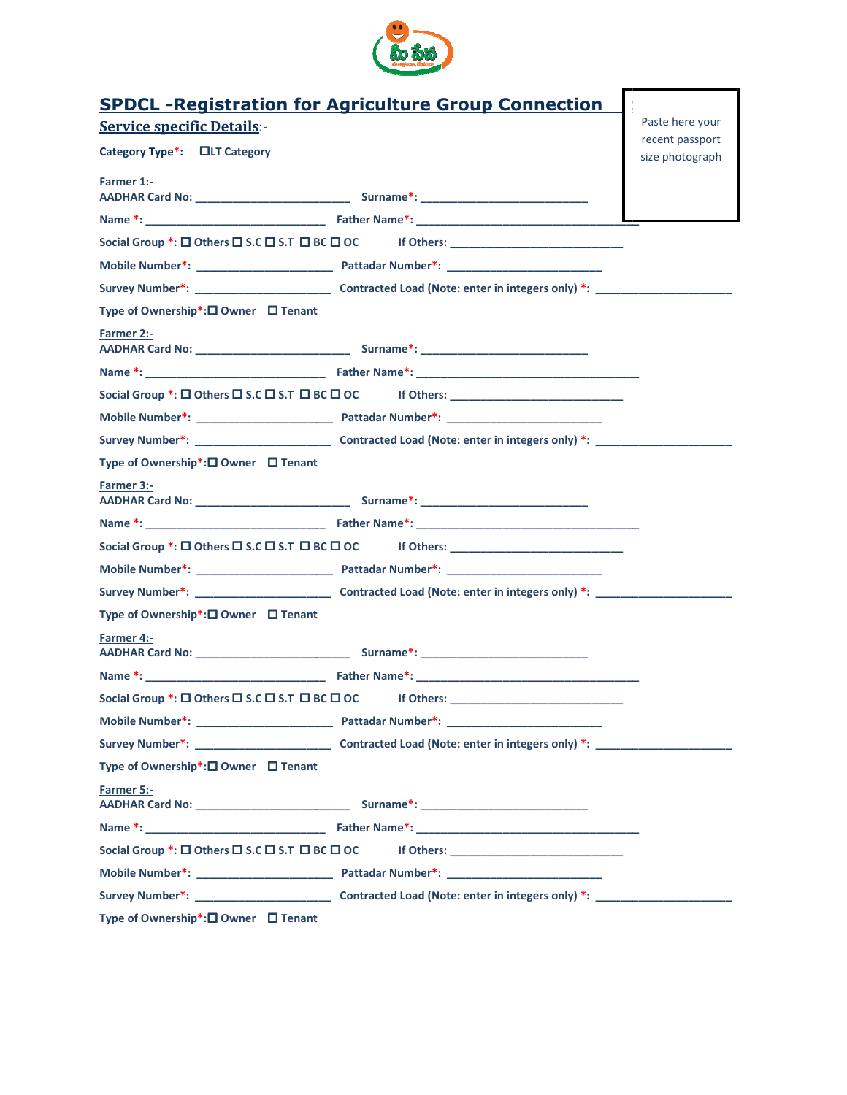

|                                                                   | <b>SPDCL-Registration for Agriculture Group Connection</b>                                                                    | Paste here your                    |
|-------------------------------------------------------------------|-------------------------------------------------------------------------------------------------------------------------------|------------------------------------|
| <b>Service specific Details:-</b><br>Category Type*: □LT Category |                                                                                                                               | recent passport<br>size photograph |
| Farmer 1:-                                                        |                                                                                                                               |                                    |
|                                                                   |                                                                                                                               |                                    |
|                                                                   | Social Group *: □ Others □ S.C □ S.T □ BC □ OC     If Others: _________________________                                       |                                    |
|                                                                   |                                                                                                                               |                                    |
|                                                                   |                                                                                                                               |                                    |
| Type of Ownership*:□ Owner □ Tenant                               |                                                                                                                               |                                    |
| Farmer 2:-                                                        |                                                                                                                               |                                    |
|                                                                   |                                                                                                                               |                                    |
|                                                                   | Social Group *: □ Others □ S.C □ S.T □ BC □ OC     If Others: _________________________                                       |                                    |
|                                                                   |                                                                                                                               |                                    |
|                                                                   |                                                                                                                               |                                    |
| Type of Ownership*:□ Owner □ Tenant                               |                                                                                                                               |                                    |
| <b>Farmer 3:-</b>                                                 |                                                                                                                               |                                    |
|                                                                   |                                                                                                                               |                                    |
|                                                                   |                                                                                                                               |                                    |
|                                                                   | Social Group *: □ Others □ S.C □ S.T □ BC □ OC     If Others: _________________________                                       |                                    |
|                                                                   |                                                                                                                               |                                    |
|                                                                   |                                                                                                                               |                                    |
| Type of Ownership*:□ Owner □ Tenant                               |                                                                                                                               |                                    |
| Farmer 4:-                                                        |                                                                                                                               |                                    |
|                                                                   |                                                                                                                               |                                    |
|                                                                   | Social Group *: □ Others □ S.C □ S.T □ BC □ OC if Others: ______________________                                              |                                    |
|                                                                   |                                                                                                                               |                                    |
|                                                                   |                                                                                                                               |                                    |
| Type of Ownership*:□ Owner □ Tenant                               |                                                                                                                               |                                    |
| Farmer 5:-                                                        |                                                                                                                               |                                    |
|                                                                   |                                                                                                                               |                                    |
|                                                                   | Social Group *: $\square$ Others $\square$ S.C $\square$ S.T $\square$ BC $\square$ OC If Others: ___________________________ |                                    |
|                                                                   |                                                                                                                               |                                    |
|                                                                   |                                                                                                                               |                                    |
| Type of Ownership*:□ Owner □ Tenant                               |                                                                                                                               |                                    |